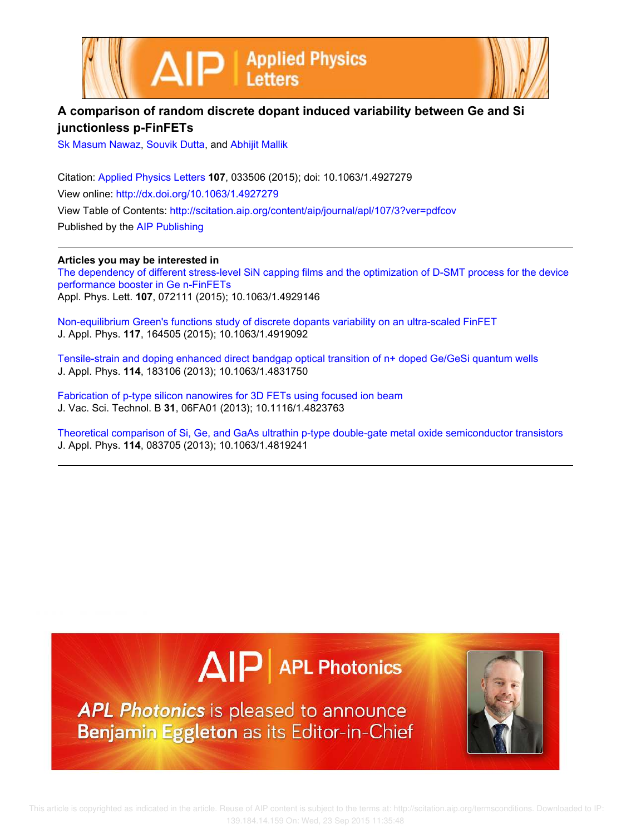



## **A comparison of random discrete dopant induced variability between Ge and Si junctionless p-FinFETs**

Sk Masum Nawaz, Souvik Dutta, and Abhijit Mallik

Citation: Applied Physics Letters **107**, 033506 (2015); doi: 10.1063/1.4927279 View online: http://dx.doi.org/10.1063/1.4927279 View Table of Contents: http://scitation.aip.org/content/aip/journal/apl/107/3?ver=pdfcov Published by the AIP Publishing

**Articles you may be interested in**

The dependency of different stress-level SiN capping films and the optimization of D-SMT process for the device performance booster in Ge n-FinFETs Appl. Phys. Lett. **107**, 072111 (2015); 10.1063/1.4929146

Non-equilibrium Green's functions study of discrete dopants variability on an ultra-scaled FinFET J. Appl. Phys. **117**, 164505 (2015); 10.1063/1.4919092

Tensile-strain and doping enhanced direct bandgap optical transition of n+ doped Ge/GeSi quantum wells J. Appl. Phys. **114**, 183106 (2013); 10.1063/1.4831750

Fabrication of p-type silicon nanowires for 3D FETs using focused ion beam J. Vac. Sci. Technol. B **31**, 06FA01 (2013); 10.1116/1.4823763

Theoretical comparison of Si, Ge, and GaAs ultrathin p-type double-gate metal oxide semiconductor transistors J. Appl. Phys. **114**, 083705 (2013); 10.1063/1.4819241



**APL Photonics** is pleased to announce Benjamin Eggleton as its Editor-in-Chief

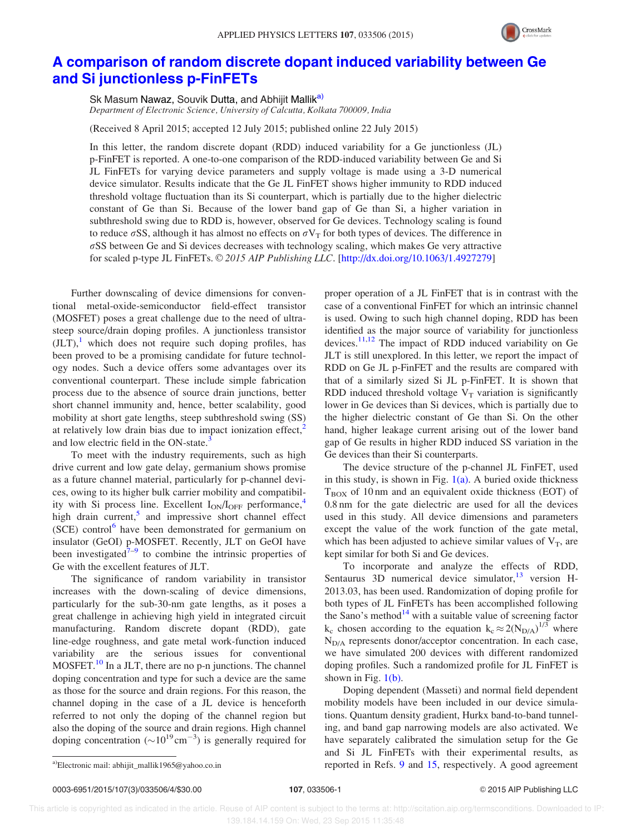

## A comparison of random discrete dopant induced variability between Ge and Si junctionless p-FinFETs

Sk Masum Nawaz, Souvik Dutta, and Abhijit Mallik<sup>a)</sup> Department of Electronic Science, University of Calcutta, Kolkata 700009, India

(Received 8 April 2015; accepted 12 July 2015; published online 22 July 2015)

In this letter, the random discrete dopant (RDD) induced variability for a Ge junctionless (JL) p-FinFET is reported. A one-to-one comparison of the RDD-induced variability between Ge and Si JL FinFETs for varying device parameters and supply voltage is made using a 3-D numerical device simulator. Results indicate that the Ge JL FinFET shows higher immunity to RDD induced threshold voltage fluctuation than its Si counterpart, which is partially due to the higher dielectric constant of Ge than Si. Because of the lower band gap of Ge than Si, a higher variation in subthreshold swing due to RDD is, however, observed for Ge devices. Technology scaling is found to reduce  $\sigma$ SS, although it has almost no effects on  $\sigma V_T$  for both types of devices. The difference in  $\sigma$ SS between Ge and Si devices decreases with technology scaling, which makes Ge very attractive for scaled p-type JL FinFETs. © 2015 AIP Publishing LLC. [http://dx.doi.org/10.1063/1.4927279]

Further downscaling of device dimensions for conventional metal-oxide-semiconductor field-effect transistor (MOSFET) poses a great challenge due to the need of ultrasteep source/drain doping profiles. A junctionless transistor  $(JLT)$ , which does not require such doping profiles, has been proved to be a promising candidate for future technology nodes. Such a device offers some advantages over its conventional counterpart. These include simple fabrication process due to the absence of source drain junctions, better short channel immunity and, hence, better scalability, good mobility at short gate lengths, steep subthreshold swing (SS) at relatively low drain bias due to impact ionization effect, $<sup>2</sup>$ </sup> and low electric field in the ON-state.<sup>3</sup>

To meet with the industry requirements, such as high drive current and low gate delay, germanium shows promise as a future channel material, particularly for p-channel devices, owing to its higher bulk carrier mobility and compatibility with Si process line. Excellent  $I_{ON}/I_{OFF}$  performance,<sup>4</sup> high drain current,<sup>5</sup> and impressive short channel effect (SCE) control<sup>6</sup> have been demonstrated for germanium on insulator (GeOI) p-MOSFET. Recently, JLT on GeOI have been investigated $\bar{7}$ -9 to combine the intrinsic properties of Ge with the excellent features of JLT.

The significance of random variability in transistor increases with the down-scaling of device dimensions, particularly for the sub-30-nm gate lengths, as it poses a great challenge in achieving high yield in integrated circuit manufacturing. Random discrete dopant (RDD), gate line-edge roughness, and gate metal work-function induced variability are the serious issues for conventional MOSFET.<sup>10</sup> In a JLT, there are no p-n junctions. The channel doping concentration and type for such a device are the same as those for the source and drain regions. For this reason, the channel doping in the case of a JL device is henceforth referred to not only the doping of the channel region but also the doping of the source and drain regions. High channel doping concentration  $({\sim}10^{19} \text{cm}^{-3})$  is generally required for proper operation of a JL FinFET that is in contrast with the case of a conventional FinFET for which an intrinsic channel is used. Owing to such high channel doping, RDD has been identified as the major source of variability for junctionless devices. $11,12$  The impact of RDD induced variability on Ge JLT is still unexplored. In this letter, we report the impact of RDD on Ge JL p-FinFET and the results are compared with that of a similarly sized Si JL p-FinFET. It is shown that RDD induced threshold voltage  $V_T$  variation is significantly lower in Ge devices than Si devices, which is partially due to the higher dielectric constant of Ge than Si. On the other hand, higher leakage current arising out of the lower band gap of Ge results in higher RDD induced SS variation in the Ge devices than their Si counterparts.

The device structure of the p-channel JL FinFET, used in this study, is shown in Fig.  $1(a)$ . A buried oxide thickness  $T_{\text{BOX}}$  of 10 nm and an equivalent oxide thickness (EOT) of 0.8 nm for the gate dielectric are used for all the devices used in this study. All device dimensions and parameters except the value of the work function of the gate metal, which has been adjusted to achieve similar values of  $V_T$ , are kept similar for both Si and Ge devices.

To incorporate and analyze the effects of RDD, Sentaurus 3D numerical device simulator, $13$  version H-2013.03, has been used. Randomization of doping profile for both types of JL FinFETs has been accomplished following the Sano's method $14$  with a suitable value of screening factor  $k_c$  chosen according to the equation  $k_c \approx 2(N_{D/A})^{1/3}$  where  $N_{D/A}$  represents donor/acceptor concentration. In each case, we have simulated 200 devices with different randomized doping profiles. Such a randomized profile for JL FinFET is shown in Fig.  $1(b)$ .

Doping dependent (Masseti) and normal field dependent mobility models have been included in our device simulations. Quantum density gradient, Hurkx band-to-band tunneling, and band gap narrowing models are also activated. We have separately calibrated the simulation setup for the Ge and Si JL FinFETs with their experimental results, as a)Electronic mail: abhijit\_mallik1965@yahoo.co.in reported in Refs. 9 and 15, respectively. A good agreement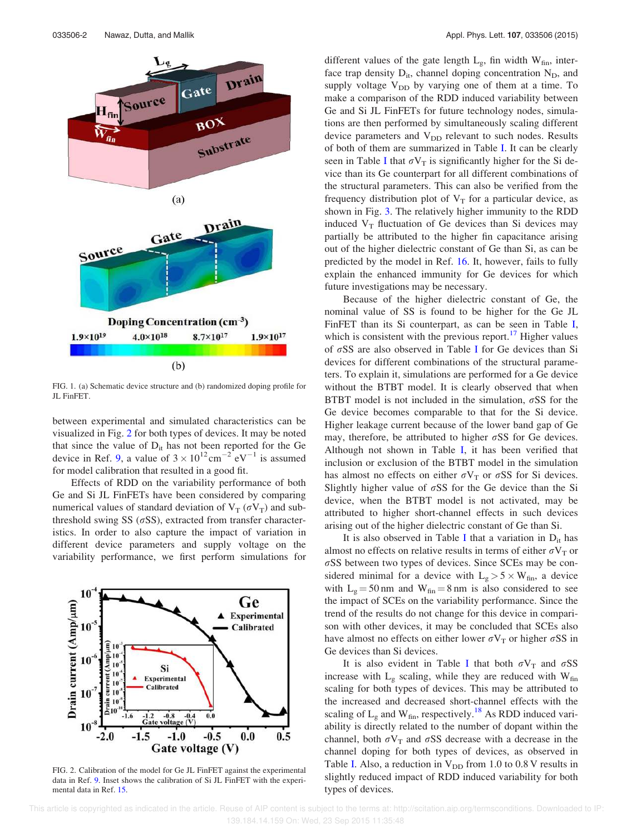

FIG. 1. (a) Schematic device structure and (b) randomized doping profile for JL FinFET.

between experimental and simulated characteristics can be visualized in Fig. 2 for both types of devices. It may be noted that since the value of  $D_{it}$  has not been reported for the Ge device in Ref. 9, a value of  $3 \times 10^{12} \text{cm}^{-2} \text{eV}^{-1}$  is assumed for model calibration that resulted in a good fit.

Effects of RDD on the variability performance of both Ge and Si JL FinFETs have been considered by comparing numerical values of standard deviation of  $V_T(\sigma V_T)$  and subthreshold swing SS  $(\sigma$ SS), extracted from transfer characteristics. In order to also capture the impact of variation in different device parameters and supply voltage on the variability performance, we first perform simulations for



FIG. 2. Calibration of the model for Ge JL FinFET against the experimental data in Ref. 9. Inset shows the calibration of Si JL FinFET with the experimental data in Ref. 15.

different values of the gate length  $L_g$ , fin width  $W_{fin}$ , interface trap density  $D_{it}$ , channel doping concentration  $N_D$ , and supply voltage  $V_{DD}$  by varying one of them at a time. To make a comparison of the RDD induced variability between Ge and Si JL FinFETs for future technology nodes, simulations are then performed by simultaneously scaling different device parameters and  $V_{DD}$  relevant to such nodes. Results of both of them are summarized in Table I. It can be clearly seen in Table I that  $\sigma V_T$  is significantly higher for the Si device than its Ge counterpart for all different combinations of the structural parameters. This can also be verified from the frequency distribution plot of  $V_T$  for a particular device, as shown in Fig. 3. The relatively higher immunity to the RDD induced  $V_T$  fluctuation of Ge devices than Si devices may partially be attributed to the higher fin capacitance arising out of the higher dielectric constant of Ge than Si, as can be predicted by the model in Ref. 16. It, however, fails to fully explain the enhanced immunity for Ge devices for which future investigations may be necessary.

Because of the higher dielectric constant of Ge, the nominal value of SS is found to be higher for the Ge JL FinFET than its Si counterpart, as can be seen in Table I, which is consistent with the previous report. $17$  Higher values of  $\sigma$ SS are also observed in Table I for Ge devices than Si devices for different combinations of the structural parameters. To explain it, simulations are performed for a Ge device without the BTBT model. It is clearly observed that when BTBT model is not included in the simulation,  $\sigma$ SS for the Ge device becomes comparable to that for the Si device. Higher leakage current because of the lower band gap of Ge may, therefore, be attributed to higher  $\sigma$ SS for Ge devices. Although not shown in Table I, it has been verified that inclusion or exclusion of the BTBT model in the simulation has almost no effects on either  $\sigma V_T$  or  $\sigma SS$  for Si devices. Slightly higher value of  $\sigma$ SS for the Ge device than the Si device, when the BTBT model is not activated, may be attributed to higher short-channel effects in such devices arising out of the higher dielectric constant of Ge than Si.

It is also observed in Table I that a variation in  $D_{it}$  has almost no effects on relative results in terms of either  $\sigma V_T$  or  $\sigma$ SS between two types of devices. Since SCEs may be considered minimal for a device with  $L_g > 5 \times W_{fin}$ , a device with  $L_g = 50$  nm and  $W_{fin} = 8$  nm is also considered to see the impact of SCEs on the variability performance. Since the trend of the results do not change for this device in comparison with other devices, it may be concluded that SCEs also have almost no effects on either lower  $\sigma V_T$  or higher  $\sigma SS$  in Ge devices than Si devices.

It is also evident in Table I that both  $\sigma V_T$  and  $\sigma SS$ increase with  $L_g$  scaling, while they are reduced with  $W_{fin}$ scaling for both types of devices. This may be attributed to the increased and decreased short-channel effects with the scaling of  $L_g$  and  $W_{fin}$ , respectively.<sup>18</sup> As RDD induced variability is directly related to the number of dopant within the channel, both  $\sigma V_T$  and  $\sigma SS$  decrease with a decrease in the channel doping for both types of devices, as observed in Table I. Also, a reduction in  $V_{DD}$  from 1.0 to 0.8 V results in slightly reduced impact of RDD induced variability for both types of devices.

 This article is copyrighted as indicated in the article. Reuse of AIP content is subject to the terms at: http://scitation.aip.org/termsconditions. Downloaded to IP: 139.184.14.159 On: Wed, 23 Sep 2015 11:35:48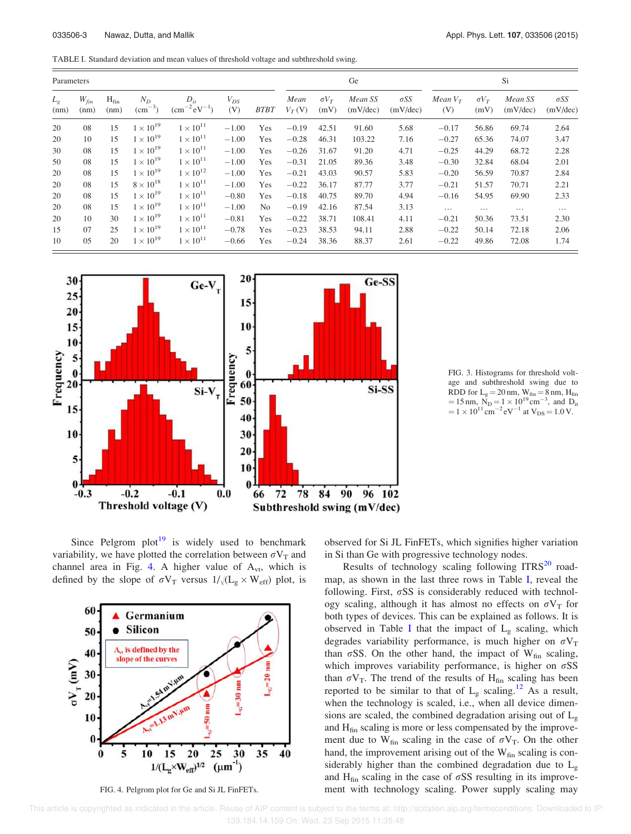TABLE I. Standard deviation and mean values of threshold voltage and subthreshold swing.

| Parameters    |                   |                   |                          |                                    |                 |             | Ge               |                      |                     |                         | Si                |                      |                     |                         |
|---------------|-------------------|-------------------|--------------------------|------------------------------------|-----------------|-------------|------------------|----------------------|---------------------|-------------------------|-------------------|----------------------|---------------------|-------------------------|
| $L_g$<br>(nm) | $W_{fin}$<br>(nm) | $H_{fin}$<br>(nm) | $N_D$<br>$\rm (cm^{-3})$ | $D_{it}$<br>$\rm (cm^{-2}eV^{-1})$ | $V_{DS}$<br>(V) | <b>BTBT</b> | Mean<br>$V_T(V)$ | $\sigma V_T$<br>(mV) | Mean SS<br>(mV/dec) | $\sigma$ SS<br>(mV/dec) | Mean $V_T$<br>(V) | $\sigma V_T$<br>(mV) | Mean SS<br>(mV/dec) | $\sigma SS$<br>(mV/dec) |
| 20            | 08                | 15                | $1\times10^{19}$         | $1 \times 10^{11}$                 | $-1.00$         | Yes         | $-0.19$          | 42.51                | 91.60               | 5.68                    | $-0.17$           | 56.86                | 69.74               | 2.64                    |
| 20            | 10                | 15                | $1 \times 10^{19}$       | $1 \times 10^{11}$                 | $-1.00$         | <b>Yes</b>  | $-0.28$          | 46.31                | 103.22              | 7.16                    | $-0.27$           | 65.36                | 74.07               | 3.47                    |
| 30            | 08                | 15                | $1 \times 10^{19}$       | $1 \times 10^{11}$                 | $-1.00$         | Yes         | $-0.26$          | 31.67                | 91.20               | 4.71                    | $-0.25$           | 44.29                | 68.72               | 2.28                    |
| 50            | 08                | 15                | $1 \times 10^{19}$       | $1 \times 10^{11}$                 | $-1.00$         | Yes         | $-0.31$          | 21.05                | 89.36               | 3.48                    | $-0.30$           | 32.84                | 68.04               | 2.01                    |
| 20            | 08                | 15                | $1 \times 10^{19}$       | $1 \times 10^{12}$                 | $-1.00$         | Yes         | $-0.21$          | 43.03                | 90.57               | 5.83                    | $-0.20$           | 56.59                | 70.87               | 2.84                    |
| 20            | 08                | 15                | $8 \times 10^{18}$       | $1 \times 10^{11}$                 | $-1.00$         | Yes         | $-0.22$          | 36.17                | 87.77               | 3.77                    | $-0.21$           | 51.57                | 70.71               | 2.21                    |
| 20            | 08                | 15                | $1 \times 10^{19}$       | $1 \times 10^{11}$                 | $-0.80$         | Yes         | $-0.18$          | 40.75                | 89.70               | 4.94                    | $-0.16$           | 54.95                | 69.90               | 2.33                    |
| 20            | 08                | 15                | $1 \times 10^{19}$       | $1 \times 10^{11}$                 | $-1.00$         | No.         | $-0.19$          | 42.16                | 87.54               | 3.13                    | $\cdots$          | $\cdots$             | $\cdots$            | $\cdots$                |
| 20            | 10                | 30                | $1 \times 10^{19}$       | $1 \times 10^{11}$                 | $-0.81$         | Yes         | $-0.22$          | 38.71                | 108.41              | 4.11                    | $-0.21$           | 50.36                | 73.51               | 2.30                    |
| 15            | 07                | 25                | $1 \times 10^{19}$       | $1 \times 10^{11}$                 | $-0.78$         | Yes         | $-0.23$          | 38.53                | 94.11               | 2.88                    | $-0.22$           | 50.14                | 72.18               | 2.06                    |
| 10            | 05                | 20                | $1 \times 10^{19}$       | $1 \times 10^{11}$                 | $-0.66$         | Yes         | $-0.24$          | 38.36                | 88.37               | 2.61                    | $-0.22$           | 49.86                | 72.08               | 1.74                    |



FIG. 3. Histograms for threshold voltage and subthreshold swing due to RDD for  $L_g = 20$  nm,  $W_{fin} = 8$  nm,  $H_{fin}$ = 15 nm,  $N_D = 1 \times 10^{19}$  cm<sup>-3</sup>, and D<sub>it</sub>  $= 1 \times 10^{11} \text{ cm}^{-2} \text{ eV}^{-1}$  at  $V_{DS} = 1.0 \text{ V}.$ 

Since Pelgrom  $plot<sup>19</sup>$  is widely used to benchmark variability, we have plotted the correlation between  $\sigma V_T$  and channel area in Fig. 4. A higher value of  $A_{vt}$ , which is defined by the slope of  $\sigma V_T$  versus  $1/\sqrt{(L_g \times W_{eff})}$  plot, is



FIG. 4. Pelgrom plot for Ge and Si JL FinFETs.

observed for Si JL FinFETs, which signifies higher variation in Si than Ge with progressive technology nodes.

Results of technology scaling following  $ITRS<sup>20</sup>$  roadmap, as shown in the last three rows in Table I, reveal the following. First,  $\sigma$ SS is considerably reduced with technology scaling, although it has almost no effects on  $\sigma V_T$  for both types of devices. This can be explained as follows. It is observed in Table I that the impact of  $L<sub>g</sub>$  scaling, which degrades variability performance, is much higher on  $\sigma V_T$ than  $\sigma$ SS. On the other hand, the impact of W<sub>fin</sub> scaling, which improves variability performance, is higher on  $\sigma$ SS than  $\sigma V_T$ . The trend of the results of H<sub>fin</sub> scaling has been reported to be similar to that of  $L_g$  scaling.<sup>12</sup> As a result, when the technology is scaled, i.e., when all device dimensions are scaled, the combined degradation arising out of  $L<sub>g</sub>$ and  $H_{fin}$  scaling is more or less compensated by the improvement due to  $W_{fin}$  scaling in the case of  $\sigma V_T$ . On the other hand, the improvement arising out of the  $W_{fin}$  scaling is considerably higher than the combined degradation due to  $L_g$ and  $H_{fin}$  scaling in the case of  $\sigma$ SS resulting in its improvement with technology scaling. Power supply scaling may